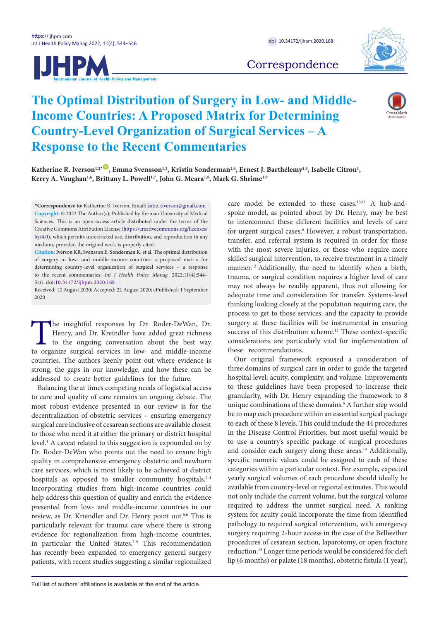



Correspondence

# **The Optimal Distribution of Surgery in Low- and Middle-Income Countries: A Proposed Matrix for Determining Country-Level Organization of Surgical Services – A Response to the Recent Commentaries**



Katherine R. Iverson<sup>1,2[\\*](#page-0-0)</sup> D, Emma Svensson<sup>1,3</sup>, Kristin Sonderman<sup>1,4</sup>, Ernest J. Barthélemy<sup>1,5</sup>, Isabelle Citron<sup>1</sup>, Kerry A. Vaughan<sup>1,6</sup>, Brittany L. Powell<sup>1,7</sup>, John G. Meara<sup>1,8</sup>, Mark G. Shrime<sup>1,9</sup>

<span id="page-0-0"></span>**\*Correspondence to:** Katherine R. Iverson, Email: katie.r.iverson@gmail.com **Copyright:** © 2022 The Author(s); Published by Kerman University of Medical Sciences. This is an open-access article distributed under the terms of the Creative Commons Attribution License ([https://creativecommons.org/licenses/](https://creativecommons.org/licenses/by/4.0) [by/4.0](https://creativecommons.org/licenses/by/4.0)), which permits unrestricted use, distribution, and reproduction in any medium, provided the original work is properly cited.

**Citation:** Iverson KR, Svensson E, Sonderman K, et al. The optimal distribution of surgery in low- and middle-income countries: a proposed matrix for determining country-level organization of surgical services – a response to the recent commentaries. *Int J Health Policy Manag.* 2022;11(4):544– 546. doi:[10.34172/ijhpm.2020.168](https://doi.org/10.34172/ijhpm.2020.168)

Received: 12 August 2020; Accepted: 22 August 2020; ePublished: 1 September 2020

The insightful responses by Dr. Roder-DeWan, Dr.<br>Henry, and Dr. Kreindler have added great richness<br>to the ongoing conversation about the best way<br>to organize surgical services in low- and middle-income Henry, and Dr. Kreindler have added great richness to the ongoing conversation about the best way to organize surgical services in low- and middle-income countries. The authors keenly point out where evidence is strong, the gaps in our knowledge, and how these can be addressed to create better guidelines for the future.

Balancing the at times competing needs of logistical access to care and quality of care remains an ongoing debate. The most robust evidence presented in our review is for the decentralization of obstetric services – ensuring emergency surgical care inclusive of cesarean sections are available closest to those who need it at either the primary or district hospital level.1 A caveat related to this suggestion is expounded on by Dr. Roder-DeWan who points out the need to ensure high quality in comprehensive emergency obstetric and newborn care services, which is most likely to be achieved at district hospitals as opposed to smaller community hospitals.<sup>2-4</sup> Incorporating studies from high-income countries could help address this question of quality and enrich the evidence presented from low- and middle-income countries in our review, as Dr. Kriendler and Dr. Henry point out.<sup>5,6</sup> This is particularly relevant for trauma care where there is strong evidence for regionalization from high-income countries, in particular the United States.<sup>7-9</sup> This recommendation has recently been expanded to emergency general surgery patients, with recent studies suggesting a similar regionalized care model be extended to these cases.10,11 A hub-andspoke model, as pointed about by Dr. Henry, may be best to interconnect these different facilities and levels of care for urgent surgical cases.<sup>6</sup> However, a robust transportation, transfer, and referral system is required in order for those with the most severe injuries, or those who require more skilled surgical intervention, to receive treatment in a timely manner.<sup>12</sup> Additionally, the need to identify when a birth, trauma, or surgical condition requires a higher level of care may not always be readily apparent, thus not allowing for adequate time and consideration for transfer. Systems-level thinking looking closely at the population requiring care, the process to get to those services, and the capacity to provide surgery at these facilities will be instrumental in ensuring success of this distribution scheme.<sup>13</sup> These context-specific considerations are particularly vital for implementation of these recommendations.

Our original framework espoused a consideration of three domains of surgical care in order to guide the targeted hospital level: acuity, complexity, and volume. Improvements to these guidelines have been proposed to increase their granularity, with Dr. Henry expanding the framework to 8 unique combinations of these domains.<sup>6</sup> A further step would be to map each procedure within an essential surgical package to each of these 8 levels. This could include the 44 procedures in the Disease Control Priorities, but most useful would be to use a country's specific package of surgical procedures and consider each surgery along these areas.<sup>14</sup> Additionally, specific numeric values could be assigned to each of these categories within a particular context. For example, expected yearly surgical volumes of each procedure should ideally be available from country-level or regional estimates. This would not only include the current volume, but the surgical volume required to address the unmet surgical need. A ranking system for acuity could incorporate the time from identified pathology to required surgical intervention, with emergency surgery requiring 2-hour access in the case of the Bellwether procedures of cesarean section, laparotomy, or open fracture reduction.15 Longer time periods would be considered for cleft lip (6 months) or palate (18 months), obstetric fistula (1 year),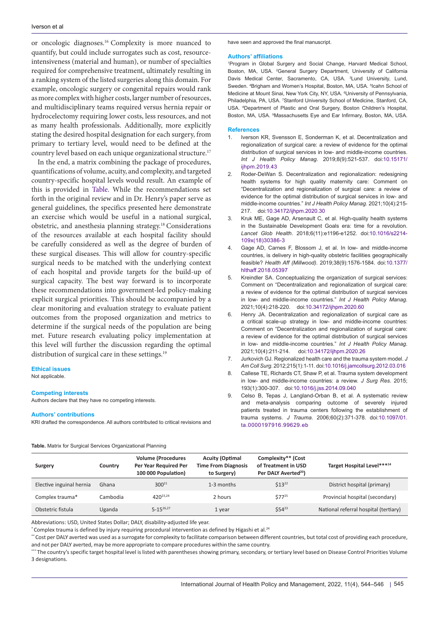or oncologic diagnoses.16 Complexity is more nuanced to quantify, but could include surrogates such as cost, resourceintensiveness (material and human), or number of specialties required for comprehensive treatment, ultimately resulting in a ranking system of the listed surgeries along this domain. For example, oncologic surgery or congenital repairs would rank as more complex with higher costs, larger number of resources, and multidisciplinary teams required versus hernia repair or hydrocelectomy requiring lower costs, less resources, and not as many health professionals. Additionally, more explicitly stating the desired hospital designation for each surgery, from primary to tertiary level, would need to be defined at the country level based on each unique organizational structure.17

In the end, a matrix combining the package of procedures, quantifications of volume, acuity, and complexity, and targeted country-specific hospital levels would result. An example of this is provided in [Table](#page-1-0). While the recommendations set forth in the original review and in Dr. Henry's paper serve as general guidelines, the specifics presented here demonstrate an exercise which would be useful in a national surgical, obstetric, and anesthesia planning strategy.18 Considerations of the resources available at each hospital facility should be carefully considered as well as the degree of burden of these surgical diseases. This will allow for country-specific surgical needs to be matched with the underlying context of each hospital and provide targets for the build-up of surgical capacity. The best way forward is to incorporate these recommendations into government-led policy-making explicit surgical priorities. This should be accompanied by a clear monitoring and evaluation strategy to evaluate patient outcomes from the proposed organization and metrics to determine if the surgical needs of the population are being met. Future research evaluating policy implementation at this level will further the discussion regarding the optimal distribution of surgical care in these settings.<sup>19</sup>

## **Ethical issues**

Not applicable.

#### **Competing interests**

Authors declare that they have no competing interests.

#### **Authors' contributions**

KRI drafted the correspondence. All authors contributed to critical revisions and

have seen and approved the final manuscript.

### **Authors' affiliations**

1 Program in Global Surgery and Social Change, Harvard Medical School, Boston, MA, USA. <sup>2</sup>General Surgery Department, University of California Davis Medical Center, Sacramento, CA, USA. <sup>3</sup>Lund University, Lund, Sweden. <sup>4</sup>Brigham and Women's Hospital, Boston, MA, USA. <sup>5</sup>Icahn School of Medicine at Mount Sinai, New York City, NY, USA. <sup>6</sup>University of Pennsylvania, Philadelphia, PA, USA. <sup>7</sup>Stanford University School of Medicine, Stanford, CA, USA. <sup>8</sup>Department of Plastic and Oral Surgery, Boston Children's Hospital, Boston, MA, USA. <sup>9</sup>Massachusetts Eye and Ear Infirmary, Boston, MA, USA.

#### **References**

- 1. Iverson KR, Svensson E, Sonderman K, et al. Decentralization and regionalization of surgical care: a review of evidence for the optimal distribution of surgical services in low- and middle-income countries. *Int J Health Policy Manag*. 2019;8(9):521-537. doi:[10.15171/](https://doi.org/10.15171/ijhpm.2019.43) iihpm.2019.43
- 2. Roder-DeWan S. Decentralization and regionalization: redesigning health systems for high quality maternity care: Comment on "Decentralization and regionalization of surgical care: a review of evidence for the optimal distribution of surgical services in low- and middle-income countries." *Int J Health Policy Manag*. 2021;10(4):215- 217. doi[:10.34172/ijhpm.2020.30](https://doi.org/10.34172/ijhpm.2020.30)
- Kruk ME, Gage AD, Arsenault C, et al. High-quality health systems in the Sustainable Development Goals era: time for a revolution. *Lancet Glob Health*. 2018;6(11):e1196-e1252. doi[:10.1016/s2214-](https://doi.org/10.1016/s2214-109x(18)30386-3) [109x\(18\)30386-3](https://doi.org/10.1016/s2214-109x(18)30386-3)
- 4. Gage AD, Carnes F, Blossom J, et al. In low- and middle-income countries, is delivery in high-quality obstetric facilities geographically feasible? *Health Aff (Millwood).* 2019;38(9):1576-1584. doi:[10.1377/](https://doi.org/10.1377/hlthaff.2018.05397) [hlthaff.2018.05397](https://doi.org/10.1377/hlthaff.2018.05397)
- 5. Kreindler SA. Conceptualizing the organization of surgical services: Comment on "Decentralization and regionalization of surgical care: a review of evidence for the optimal distribution of surgical services in low- and middle-income countries." *Int J Health Policy Manag*. 2021;10(4):218-220. doi:[10.34172/ijhpm.2020.60](https://doi.org/10.34172/ijhpm.2020.60)
- Henry JA. Decentralization and regionalization of surgical care as a critical scale-up strategy in low- and middle-income countries: Comment on "Decentralization and regionalization of surgical care: a review of evidence for the optimal distribution of surgical services in low- and middle-income countries." *Int J Health Policy Manag*. 2021;10(4):211-214. doi[:10.34172/ijhpm.2020.26](https://doi.org/10.34172/ijhpm.2020.26)
- 7. Jurkovich GJ. Regionalized health care and the trauma system model. *J Am Coll Surg*. 2012;215(1):1-11. doi:[10.1016/j.jamcollsurg.2012.03.016](https://doi.org/10.1016/j.jamcollsurg.2012.03.016)
- 8. Callese TE, Richards CT, Shaw P, et al. Trauma system development in low- and middle-income countries: a review. *J Surg Res*. 2015; 193(1):300-307. doi[:10.1016/j.jss.2014.09.040](https://doi.org/10.1016/j.jss.2014.09.040)
- 9. Celso B, Tepas J, Langland-Orban B, et al. A systematic review and meta-analysis comparing outcome of severely injured patients treated in trauma centers following the establishment of trauma systems. *J Trauma*. 2006;60(2):371-378. doi:[10.1097/01.](https://doi.org/10.1097/01.ta.0000197916.99629.eb) [ta.0000197916.99629.eb](https://doi.org/10.1097/01.ta.0000197916.99629.eb)

<span id="page-1-0"></span>

| Surgery                  | Country  | <b>Volume (Procedures</b><br>Per Year Required Per<br>100 000 Population) | <b>Acuity (Optimal</b><br><b>Time From Diagnosis</b><br>to Surgery) | Complexity** (Cost<br>of Treatment in USD<br>Per DALY Averted <sup>20</sup> ) | Target Hospital Level***14            |
|--------------------------|----------|---------------------------------------------------------------------------|---------------------------------------------------------------------|-------------------------------------------------------------------------------|---------------------------------------|
| Elective inguinal hernia | Ghana    | $300^{21}$                                                                | 1-3 months                                                          | $$13^{22}$                                                                    | District hospital (primary)           |
| Complex trauma*          | Cambodia | 420 <sup>23,24</sup>                                                      | 2 hours                                                             | $$77^{25}$                                                                    | Provincial hospital (secondary)       |
| Obstetric fistula        | Uganda   | $5 - 15^{26,27}$                                                          | 1 year                                                              | $$54^{23}$                                                                    | National referral hospital (tertiary) |

Abbreviations: USD, United States Dollar; DALY, disability-adjusted life year.

Complex trauma is defined by injury requiring procedural intervention as defined by Higashi et al.<sup>24</sup>

\*\* Cost per DALY averted was used as a surrogate for complexity to facilitate comparison between different countries, but total cost of providing each procedure, and not per DALY averted, may be more appropriate to compare procedures within the same country.

\*\*\* The country's specific target hospital level is listed with parentheses showing primary, secondary, or tertiary level based on Disease Control Priorities Volume 3 designations.